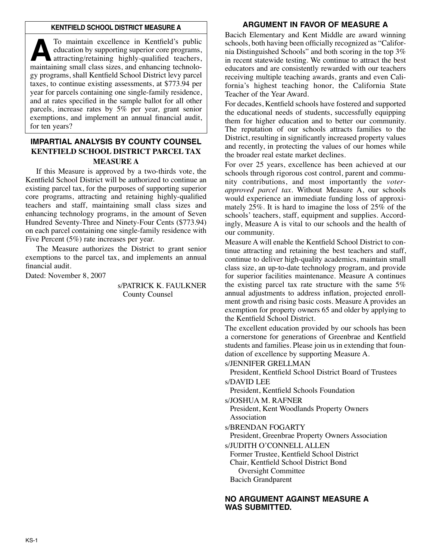### **KENTFIELD SCHOOL DISTRICT MEASURE A**

To maintain excellence in Kentfield's public<br>education by supporting superior core programs,<br>attracting/retaining highly-qualified teachers. education by supporting superior core programs, attracting/retaining highly-qualified teachers, maintaining small class sizes, and enhancing technology programs, shall Kentfield School District levy parcel taxes, to continue existing assessments, at \$773.94 per year for parcels containing one single-family residence, and at rates specified in the sample ballot for all other parcels, increase rates by 5% per year, grant senior exemptions, and implement an annual financial audit, for ten years?

## **IMPARTIAL ANALYSIS BY COUNTY COUNSEL KENTFIELD SCHOOL DISTRICT PARCEL TAX MEASURE A**

If this Measure is approved by a two-thirds vote, the Kentfield School District will be authorized to continue an existing parcel tax, for the purposes of supporting superior core programs, attracting and retaining highly-qualified teachers and staff, maintaining small class sizes and enhancing technology programs, in the amount of Seven Hundred Seventy-Three and Ninety-Four Cents (\$773.94) on each parcel containing one single-family residence with Five Percent (5%) rate increases per year.

The Measure authorizes the District to grant senior exemptions to the parcel tax, and implements an annual financial audit.

Dated: November 8, 2007

s/PATRICK K. FAULKNER County Counsel

## **ARGUMENT IN FAVOR OF MEASURE A**

Bacich Elementary and Kent Middle are award winning schools, both having been officially recognized as "California Distinguished Schools" and both scoring in the top 3% in recent statewide testing. We continue to attract the best educators and are consistently rewarded with our teachers receiving multiple teaching awards, grants and even California's highest teaching honor, the California State Teacher of the Year Award.

For decades, Kentfield schools have fostered and supported the educational needs of students, successfully equipping them for higher education and to better our community. The reputation of our schools attracts families to the District, resulting in significantly increased property values and recently, in protecting the values of our homes while the broader real estate market declines.

For over 25 years, excellence has been achieved at our schools through rigorous cost control, parent and community contributions, and most importantly the *voterapproved parcel tax*. Without Measure A, our schools would experience an immediate funding loss of approximately 25%. It is hard to imagine the loss of 25% of the schools' teachers, staff, equipment and supplies. Accordingly, Measure A is vital to our schools and the health of our community.

Measure A will enable the Kentfield School District to continue attracting and retaining the best teachers and staff, continue to deliver high-quality academics, maintain small class size, an up-to-date technology program, and provide for superior facilities maintenance. Measure A continues the existing parcel tax rate structure with the same 5% annual adjustments to address inflation, projected enrollment growth and rising basic costs. Measure A provides an exemption for property owners 65 and older by applying to the Kentfield School District.

The excellent education provided by our schools has been a cornerstone for generations of Greenbrae and Kentfield students and families. Please join us in extending that foundation of excellence by supporting Measure A.

s/JENNIFER GRELLMAN

President, Kentfield School District Board of Trustees s/DAVID LEE

President, Kentfield Schools Foundation

s/JOSHUA M. RAFNER

President, Kent Woodlands Property Owners Association

s/BRENDAN FOGARTY

President, Greenbrae Property Owners Association

s/JUDITH O'CONNELL ALLEN

Former Trustee, Kentfield School District Chair, Kentfield School District Bond

Oversight Committee

Bacich Grandparent

# **NO ARGUMENT AGAINST MEASURE A WAS SUBMITTED.**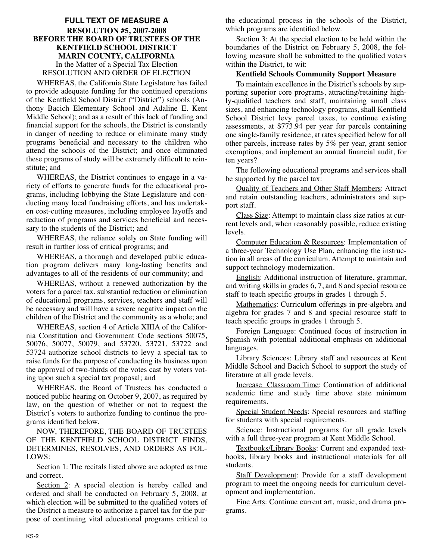### **FULL TEXT OF MEASURE A RESOLUTION #5, 2007-2008 BEFORE THE BOARD OF TRUSTEES OF THE KENTFIELD SCHOOL DISTRICT MARIN COUNTY, CALIFORNIA** In the Matter of a Special Tax Election RESOLUTION AND ORDER OF ELECTION

WHEREAS, the California State Legislature has failed to provide adequate funding for the continued operations of the Kentfield School District ("District") schools (Anthony Bacich Elementary School and Adaline E. Kent Middle School); and as a result of this lack of funding and financial support for the schools, the District is constantly in danger of needing to reduce or eliminate many study programs beneficial and necessary to the children who attend the schools of the District; and once eliminated these programs of study will be extremely difficult to reinstitute; and

WHEREAS, the District continues to engage in a variety of efforts to generate funds for the educational programs, including lobbying the State Legislature and conducting many local fundraising efforts, and has undertaken cost-cutting measures, including employee layoffs and reduction of programs and services beneficial and necessary to the students of the District; and

WHEREAS, the reliance solely on State funding will result in further loss of critical programs; and

WHEREAS, a thorough and developed public education program delivers many long-lasting benefits and advantages to all of the residents of our community; and

WHEREAS, without a renewed authorization by the voters for a parcel tax, substantial reduction or elimination of educational programs, services, teachers and staff will be necessary and will have a severe negative impact on the children of the District and the community as a whole; and

WHEREAS, section 4 of Article XIIIA of the California Constitution and Government Code sections 50075, 50076, 50077, 50079, and 53720, 53721, 53722 and 53724 authorize school districts to levy a special tax to raise funds for the purpose of conducting its business upon the approval of two-thirds of the votes cast by voters voting upon such a special tax proposal; and

WHEREAS, the Board of Trustees has conducted a noticed public hearing on October 9, 2007, as required by law, on the question of whether or not to request the District's voters to authorize funding to continue the programs identified below.

NOW, THEREFORE, THE BOARD OF TRUSTEES OF THE KENTFIELD SCHOOL DISTRICT FINDS, DETERMINES, RESOLVES, AND ORDERS AS FOL-LOWS:

Section 1: The recitals listed above are adopted as true and correct.

Section 2: A special election is hereby called and ordered and shall be conducted on February 5, 2008, at which election will be submitted to the qualified voters of the District a measure to authorize a parcel tax for the purpose of continuing vital educational programs critical to the educational process in the schools of the District, which programs are identified below.

Section 3: At the special election to be held within the boundaries of the District on February 5, 2008, the following measure shall be submitted to the qualified voters within the District, to wit:

### **Kentfield Schools Community Support Measure**

To maintain excellence in the District's schools by supporting superior core programs, attracting/retaining highly-qualified teachers and staff, maintaining small class sizes, and enhancing technology programs, shall Kentfield School District levy parcel taxes, to continue existing assessments, at \$773.94 per year for parcels containing one single-family residence, at rates specified below for all other parcels, increase rates by 5% per year, grant senior exemptions, and implement an annual financial audit, for ten years?

The following educational programs and services shall be supported by the parcel tax:

Quality of Teachers and Other Staff Members: Attract and retain outstanding teachers, administrators and support staff.

Class Size: Attempt to maintain class size ratios at current levels and, when reasonably possible, reduce existing levels.

Computer Education & Resources: Implementation of a three-year Technology Use Plan, enhancing the instruction in all areas of the curriculum. Attempt to maintain and support technology modernization.

English: Additional instruction of literature, grammar, and writing skills in grades 6, 7, and 8 and special resource staff to teach specific groups in grades 1 through 5.

Mathematics: Curriculum offerings in pre-algebra and algebra for grades 7 and 8 and special resource staff to teach specific groups in grades 1 through 5.

Foreign Language: Continued focus of instruction in Spanish with potential additional emphasis on additional languages.

Library Sciences: Library staff and resources at Kent Middle School and Bacich School to support the study of literature at all grade levels.

Increase Classroom Time: Continuation of additional academic time and study time above state minimum requirements.

Special Student Needs: Special resources and staffing for students with special requirements.

Science: Instructional programs for all grade levels with a full three-year program at Kent Middle School.

Textbooks/Library Books: Current and expanded textbooks, library books and instructional materials for all students.

Staff Development: Provide for a staff development program to meet the ongoing needs for curriculum development and implementation.

Fine Arts: Continue current art, music, and drama programs.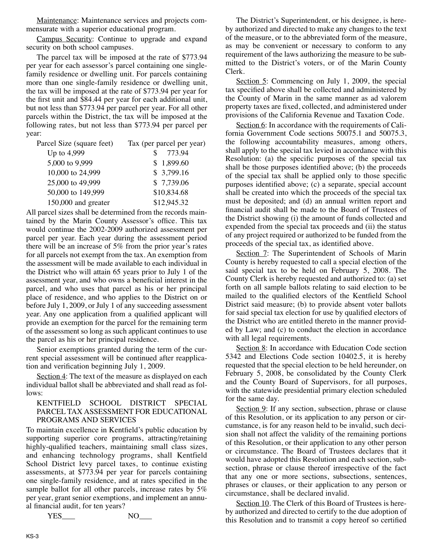Maintenance: Maintenance services and projects commensurate with a superior educational program.

Campus Security: Continue to upgrade and expand security on both school campuses.

The parcel tax will be imposed at the rate of \$773.94 per year for each assessor's parcel containing one singlefamily residence or dwelling unit. For parcels containing more than one single-family residence or dwelling unit, the tax will be imposed at the rate of \$773.94 per year for the first unit and \$84.44 per year for each additional unit, but not less than \$773.94 per parcel per year. For all other parcels within the District, the tax will be imposed at the following rates, but not less than \$773.94 per parcel per year:

| Parcel Size (square feet) | Tax (per parcel per year) |
|---------------------------|---------------------------|
| Up to 4,999               | 773.94                    |
| 5,000 to 9,999            | \$1,899.60                |
| 10,000 to 24,999          | \$3,799.16                |
| 25,000 to 49,999          | \$7,739.06                |
| 50,000 to 149,999         | \$10,834.68               |
| 150,000 and greater       | \$12,945.32               |

All parcel sizes shall be determined from the records maintained by the Marin County Assessor's office. This tax would continue the 2002-2009 authorized assessment per parcel per year. Each year during the assessment period there will be an increase of 5% from the prior year's rates for all parcels not exempt from the tax. An exemption from the assessment will be made available to each individual in the District who will attain 65 years prior to July 1 of the assessment year, and who owns a beneficial interest in the parcel, and who uses that parcel as his or her principal place of residence, and who applies to the District on or before July 1, 2009, or July 1 of any succeeding assessment year. Any one application from a qualified applicant will provide an exemption for the parcel for the remaining term of the assessment so long as such applicant continues to use the parcel as his or her principal residence.

Senior exemptions granted during the term of the current special assessment will be continued after reapplication and verification beginning July 1, 2009.

Section 4: The text of the measure as displayed on each individual ballot shall be abbreviated and shall read as follows:

### KENTFIELD SCHOOL DISTRICT SPECIAL PARCEL TAX ASSESSMENT FOR EDUCATIONAL PROGRAMS AND SERVICES

To maintain excellence in Kentfield's public education by supporting superior core programs, attracting/retaining highly-qualified teachers, maintaining small class sizes, and enhancing technology programs, shall Kentfield School District levy parcel taxes, to continue existing assessments, at \$773.94 per year for parcels containing one single-family residence, and at rates specified in the sample ballot for all other parcels, increase rates by 5% per year, grant senior exemptions, and implement an annual financial audit, for ten years?

YES NO

The District's Superintendent, or his designee, is hereby authorized and directed to make any changes to the text of the measure, or to the abbreviated form of the measure, as may be convenient or necessary to conform to any requirement of the laws authorizing the measure to be submitted to the District's voters, or of the Marin County Clerk.

Section 5: Commencing on July 1, 2009, the special tax specified above shall be collected and administered by the County of Marin in the same manner as ad valorem property taxes are fixed, collected, and administered under provisions of the California Revenue and Taxation Code.

Section 6: In accordance with the requirements of California Government Code sections 50075.1 and 50075.3, the following accountability measures, among others, shall apply to the special tax levied in accordance with this Resolution: (a) the specific purposes of the special tax shall be those purposes identified above; (b) the proceeds of the special tax shall be applied only to those specific purposes identified above; (c) a separate, special account shall be created into which the proceeds of the special tax must be deposited; and (d) an annual written report and financial audit shall be made to the Board of Trustees of the District showing (i) the amount of funds collected and expended from the special tax proceeds and (ii) the status of any project required or authorized to be funded from the proceeds of the special tax, as identified above.

Section 7: The Superintendent of Schools of Marin County is hereby requested to call a special election of the said special tax to be held on February 5, 2008. The County Clerk is hereby requested and authorized to: (a) set forth on all sample ballots relating to said election to be mailed to the qualified electors of the Kentfield School District said measure; (b) to provide absent voter ballots for said special tax election for use by qualified electors of the District who are entitled thereto in the manner provided by Law; and (c) to conduct the election in accordance with all legal requirements.

Section 8: In accordance with Education Code section 5342 and Elections Code section 10402.5, it is hereby requested that the special election to be held hereunder, on February 5, 2008, be consolidated by the County Clerk and the County Board of Supervisors, for all purposes, with the statewide presidential primary election scheduled for the same day.

Section 9: If any section, subsection, phrase or clause of this Resolution, or its application to any person or circumstance, is for any reason held to be invalid, such decision shall not affect the validity of the remaining portions of this Resolution, or their application to any other person or circumstance. The Board of Trustees declares that it would have adopted this Resolution and each section, subsection, phrase or clause thereof irrespective of the fact that any one or more sections, subsections, sentences, phrases or clauses, or their application to any person or circumstance, shall be declared invalid.

Section 10. The Clerk of this Board of Trustees is hereby authorized and directed to certify to the due adoption of this Resolution and to transmit a copy hereof so certified